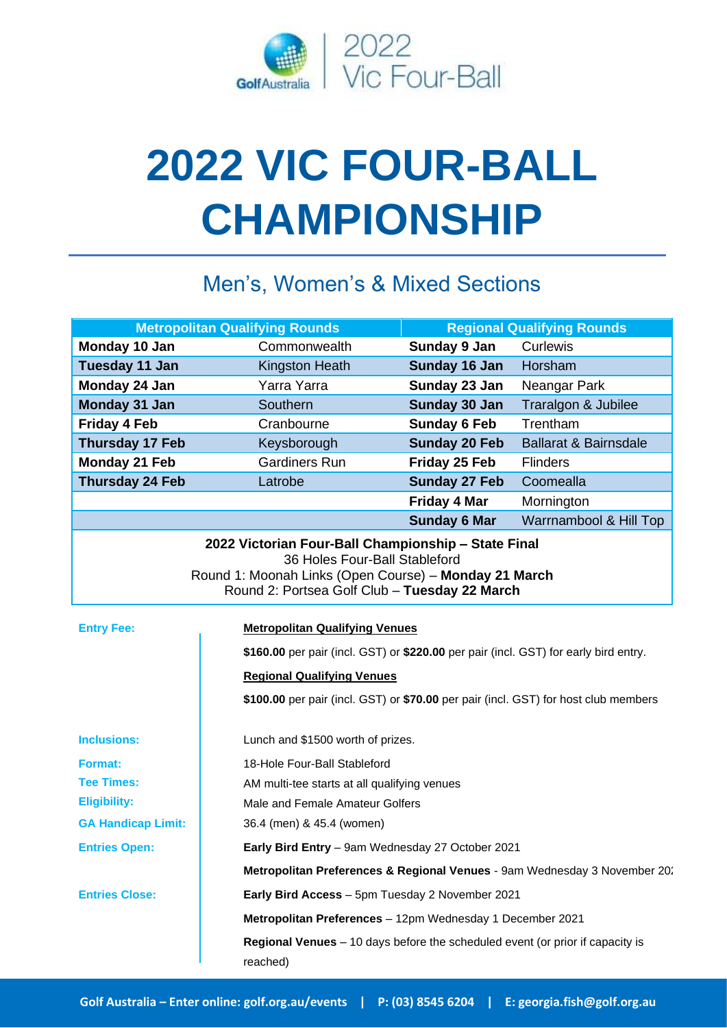

# **2022 VIC FOUR-BALL CHAMPIONSHIP**

## Men's, Women's & Mixed Sections

| <b>Metropolitan Qualifying Rounds</b>                                                                                                   |                                                                                     |                                                                                      | <b>Regional Qualifying Rounds</b>                                         |  |
|-----------------------------------------------------------------------------------------------------------------------------------------|-------------------------------------------------------------------------------------|--------------------------------------------------------------------------------------|---------------------------------------------------------------------------|--|
| Monday 10 Jan                                                                                                                           | Commonwealth                                                                        | Sunday 9 Jan                                                                         | Curlewis                                                                  |  |
| Tuesday 11 Jan                                                                                                                          | Kingston Heath                                                                      | Sunday 16 Jan                                                                        | Horsham                                                                   |  |
| Monday 24 Jan                                                                                                                           | Yarra Yarra                                                                         | Sunday 23 Jan                                                                        | Neangar Park                                                              |  |
| Monday 31 Jan                                                                                                                           | Southern                                                                            | Sunday 30 Jan                                                                        | Traralgon & Jubilee                                                       |  |
| <b>Friday 4 Feb</b>                                                                                                                     | Cranbourne                                                                          | <b>Sunday 6 Feb</b>                                                                  | Trentham                                                                  |  |
| Thursday 17 Feb                                                                                                                         | Keysborough                                                                         | <b>Sunday 20 Feb</b>                                                                 | <b>Ballarat &amp; Bairnsdale</b>                                          |  |
| Monday 21 Feb                                                                                                                           | <b>Gardiners Run</b>                                                                | Friday 25 Feb                                                                        | <b>Flinders</b>                                                           |  |
| <b>Thursday 24 Feb</b>                                                                                                                  | Latrobe                                                                             | <b>Sunday 27 Feb</b>                                                                 | Coomealla                                                                 |  |
|                                                                                                                                         |                                                                                     | <b>Friday 4 Mar</b>                                                                  | Mornington                                                                |  |
|                                                                                                                                         |                                                                                     | <b>Sunday 6 Mar</b>                                                                  | Warrnambool & Hill Top                                                    |  |
| 36 Holes Four-Ball Stableford<br>Round 1: Moonah Links (Open Course) - Monday 21 March<br>Round 2: Portsea Golf Club - Tuesday 22 March |                                                                                     |                                                                                      |                                                                           |  |
| <b>Entry Fee:</b>                                                                                                                       |                                                                                     | <b>Metropolitan Qualifying Venues</b>                                                |                                                                           |  |
|                                                                                                                                         |                                                                                     | \$160.00 per pair (incl. GST) or \$220.00 per pair (incl. GST) for early bird entry. |                                                                           |  |
|                                                                                                                                         |                                                                                     | <b>Regional Qualifying Venues</b>                                                    |                                                                           |  |
|                                                                                                                                         | \$100.00 per pair (incl. GST) or \$70.00 per pair (incl. GST) for host club members |                                                                                      |                                                                           |  |
| <b>Inclusions:</b>                                                                                                                      |                                                                                     | Lunch and \$1500 worth of prizes.                                                    |                                                                           |  |
| <b>Format:</b>                                                                                                                          | 18-Hole Four-Ball Stableford                                                        |                                                                                      |                                                                           |  |
| <b>Tee Times:</b>                                                                                                                       |                                                                                     | AM multi-tee starts at all qualifying venues                                         |                                                                           |  |
| <b>Eligibility:</b>                                                                                                                     |                                                                                     | Male and Female Amateur Golfers                                                      |                                                                           |  |
| <b>GA Handicap Limit:</b>                                                                                                               | 36.4 (men) & 45.4 (women)                                                           |                                                                                      |                                                                           |  |
| <b>Entries Open:</b>                                                                                                                    |                                                                                     | Early Bird Entry - 9am Wednesday 27 October 2021                                     |                                                                           |  |
|                                                                                                                                         |                                                                                     |                                                                                      | Metropolitan Preferences & Regional Venues - 9am Wednesday 3 November 20. |  |
| <b>Entries Close:</b>                                                                                                                   |                                                                                     | Early Bird Access - 5pm Tuesday 2 November 2021                                      |                                                                           |  |
|                                                                                                                                         |                                                                                     | Metropolitan Preferences - 12pm Wednesday 1 December 2021                            |                                                                           |  |
|                                                                                                                                         | reached)                                                                            | Regional Venues - 10 days before the scheduled event (or prior if capacity is        |                                                                           |  |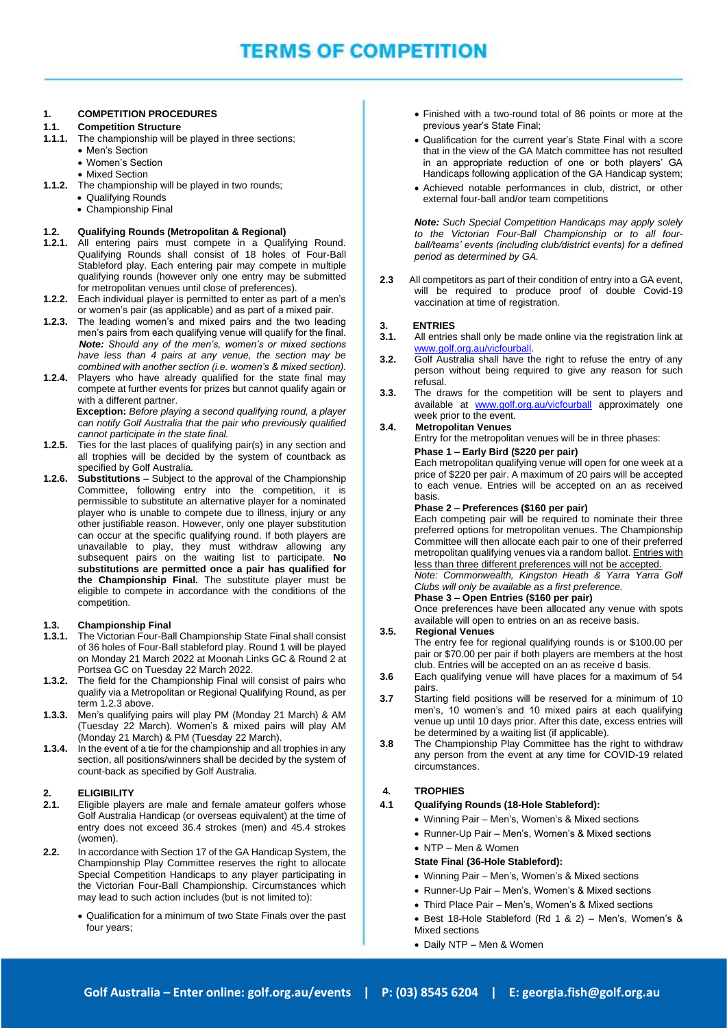#### **1. COMPETITION PROCEDURES**

#### **1.1. Competition Structure**

- **1.1.1.** The championship will be played in three sections;
	- Men's Section
	- Women's Section
	- Mixed Section
- **1.1.2.** The championship will be played in two rounds;
	- Qualifying Rounds
	- Championship Final

#### **1.2. Qualifying Rounds (Metropolitan & Regional)**

- **1.2.1.** All entering pairs must compete in a Qualifying Round. Qualifying Rounds shall consist of 18 holes of Four-Ball Stableford play. Each entering pair may compete in multiple qualifying rounds (however only one entry may be submitted for metropolitan venues until close of preferences).
- **1.2.2.** Each individual player is permitted to enter as part of a men's or women's pair (as applicable) and as part of a mixed pair.
- **1.2.3.** The leading women's and mixed pairs and the two leading men's pairs from each qualifying venue will qualify for the final.  *Note: Should any of the men's, women's or mixed sections have less than 4 pairs at any venue, the section may be combined with another section (i.e. women's & mixed section).*
- **1.2.4.** Players who have already qualified for the state final may compete at further events for prizes but cannot qualify again or with a different partner.

 **Exception:** *Before playing a second qualifying round, a player can notify Golf Australia that the pair who previously qualified cannot participate in the state final.*

- **1.2.5.** Ties for the last places of qualifying pair(s) in any section and all trophies will be decided by the system of countback as specified by Golf Australia.
- **1.2.6. Substitutions** Subject to the approval of the Championship Committee, following entry into the competition, it is permissible to substitute an alternative player for a nominated player who is unable to compete due to illness, injury or any other justifiable reason. However, only one player substitution can occur at the specific qualifying round. If both players are unavailable to play, they must withdraw allowing any subsequent pairs on the waiting list to participate. **No substitutions are permitted once a pair has qualified for the Championship Final.** The substitute player must be eligible to compete in accordance with the conditions of the competition.

#### **1.3. Championship Final**

- **1.3. Championship Final Little State Research State Final shall consist 1.3.1.** The Victorian Four-Ball Championship State Final shall consist of 36 holes of Four-Ball stableford play. Round 1 will be played on Monday 21 March 2022 at Moonah Links GC & Round 2 at Portsea GC on Tuesday 22 March 2022.
- **1.3.2.** The field for the Championship Final will consist of pairs who qualify via a Metropolitan or Regional Qualifying Round, as per term 1.2.3 above.
- **1.3.3.** Men's qualifying pairs will play PM (Monday 21 March) & AM (Tuesday 22 March). Women's & mixed pairs will play AM (Monday 21 March) & PM (Tuesday 22 March).
- **1.3.4.** In the event of a tie for the championship and all trophies in any section, all positions/winners shall be decided by the system of count-back as specified by Golf Australia.

#### **2. ELIGIBILITY**

- **2.1.** Eligible players are male and female amateur golfers whose Golf Australia Handicap (or overseas equivalent) at the time of entry does not exceed 36.4 strokes (men) and 45.4 strokes (women).
- **2.2.** In accordance with Section 17 of the GA Handicap System, the Championship Play Committee reserves the right to allocate Special Competition Handicaps to any player participating in the Victorian Four-Ball Championship. Circumstances which may lead to such action includes (but is not limited to):
	- Qualification for a minimum of two State Finals over the past four years;
- Finished with a two-round total of 86 points or more at the previous year's State Final;
- Qualification for the current year's State Final with a score that in the view of the GA Match committee has not resulted in an appropriate reduction of one or both players' GA Handicaps following application of the GA Handicap system;
- Achieved notable performances in club, district, or other external four-ball and/or team competitions

*Note: Such Special Competition Handicaps may apply solely to the Victorian Four-Ball Championship or to all fourball/teams' events (including club/district events) for a defined period as determined by GA.*

**2.3** All competitors as part of their condition of entry into a GA event, will be required to produce proof of double Covid-19 vaccination at time of registration.

#### **3. ENTRIES**

**3.1.** All entries shall only be made online via the registration link at [www.golf.org.au/vicfourball.](http://www.golf.org.au/vicfourball)

- **3.2.** Golf Australia shall have the right to refuse the entry of any person without being required to give any reason for such refusal.
- **3.3.** The draws for the competition will be sent to players and available at [www.golf.org.au/v](http://www.golf.org.au/)icfourball approximately one week prior to the event.

#### **3.4. Metropolitan Venues**

Entry for the metropolitan venues will be in three phases:

#### **Phase 1 – Early Bird (\$220 per pair)**

Each metropolitan qualifying venue will open for one week at a price of \$220 per pair. A maximum of 20 pairs will be accepted to each venue. Entries will be accepted on an as received basis.

#### **Phase 2 – Preferences (\$160 per pair)**

Each competing pair will be required to nominate their three preferred options for metropolitan venues. The Championship Committee will then allocate each pair to one of their preferred metropolitan qualifying venues via a random ballot. Entries with less than three different preferences will not be accepted.

*Note: Commonwealth, Kingston Heath & Yarra Yarra Golf Clubs will only be available as a first preference.*

**Phase 3 – Open Entries (\$160 per pair)**

Once preferences have been allocated any venue with spots available will open to entries on an as receive basis.

#### **3.5. Regional Venues**

 The entry fee for regional qualifying rounds is or \$100.00 per pair or \$70.00 per pair if both players are members at the host club. Entries will be accepted on an as receive d basis.

- **3.6** Each qualifying venue will have places for a maximum of 54 pairs.
- **3.7** Starting field positions will be reserved for a minimum of 10 men's, 10 women's and 10 mixed pairs at each qualifying venue up until 10 days prior. After this date, excess entries will be determined by a waiting list (if applicable).
- **3.8** The Championship Play Committee has the right to withdraw any person from the event at any time for COVID-19 related circumstances.

#### **4. TROPHIES**

#### **4.1 Qualifying Rounds (18-Hole Stableford):**

- Winning Pair Men's, Women's & Mixed sections
- Runner-Up Pair Men's, Women's & Mixed sections
- NTP Men & Women

#### **State Final (36-Hole Stableford):**

- Winning Pair Men's, Women's & Mixed sections
- Runner-Up Pair Men's, Women's & Mixed sections
- Third Place Pair Men's, Women's & Mixed sections
- Best 18-Hole Stableford (Rd 1 & 2) Men's, Women's & Mixed sections
- Daily NTP Men & Women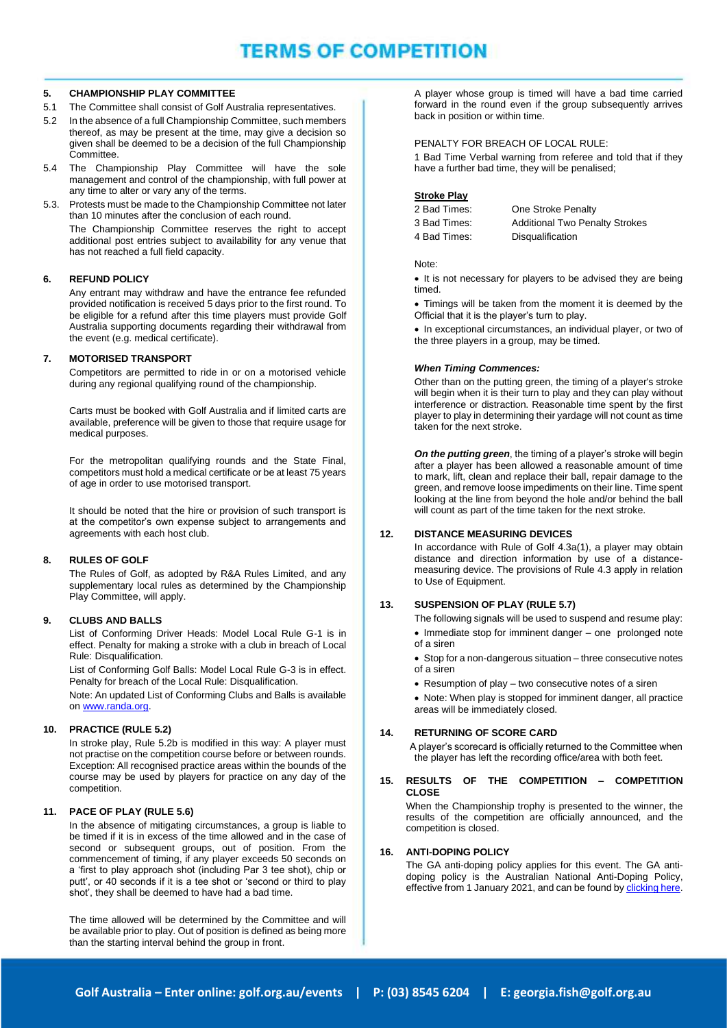## **TERMS OF COMPETITION**

#### **5. CHAMPIONSHIP PLAY COMMITTEE**

- 5.1 The Committee shall consist of Golf Australia representatives.
- 5.2 In the absence of a full Championship Committee, such members thereof, as may be present at the time, may give a decision so given shall be deemed to be a decision of the full Championship Committee.
- 5.4 The Championship Play Committee will have the sole management and control of the championship, with full power at any time to alter or vary any of the terms.
- 5.3. Protests must be made to the Championship Committee not later than 10 minutes after the conclusion of each round.

The Championship Committee reserves the right to accept additional post entries subject to availability for any venue that has not reached a full field capacity.

#### **6. REFUND POLICY**

Any entrant may withdraw and have the entrance fee refunded provided notification is received 5 days prior to the first round. To be eligible for a refund after this time players must provide Golf Australia supporting documents regarding their withdrawal from the event (e.g. medical certificate).

#### **7. MOTORISED TRANSPORT**

Competitors are permitted to ride in or on a motorised vehicle during any regional qualifying round of the championship.

Carts must be booked with Golf Australia and if limited carts are available, preference will be given to those that require usage for medical purposes.

For the metropolitan qualifying rounds and the State Final, competitors must hold a medical certificate or be at least 75 years of age in order to use motorised transport.

It should be noted that the hire or provision of such transport is at the competitor's own expense subject to arrangements and agreements with each host club.

#### **8. RULES OF GOLF**

The Rules of Golf, as adopted by R&A Rules Limited, and any supplementary local rules as determined by the Championship Play Committee, will apply.

#### **9. CLUBS AND BALLS**

List of Conforming Driver Heads: Model Local Rule G-1 is in effect. Penalty for making a stroke with a club in breach of Local Rule: Disqualification.

List of Conforming Golf Balls: Model Local Rule G-3 is in effect. Penalty for breach of the Local Rule: Disqualification.

Note: An updated List of Conforming Clubs and Balls is available on [www.randa.org.](http://www.randa.org/) 

#### **10. PRACTICE (RULE 5.2)**

In stroke play, Rule 5.2b is modified in this way: A player must not practise on the competition course before or between rounds. Exception: All recognised practice areas within the bounds of the course may be used by players for practice on any day of the competition.

#### **11. PACE OF PLAY (RULE 5.6)**

In the absence of mitigating circumstances, a group is liable to be timed if it is in excess of the time allowed and in the case of second or subsequent groups, out of position. From the commencement of timing, if any player exceeds 50 seconds on a 'first to play approach shot (including Par 3 tee shot), chip or putt', or 40 seconds if it is a tee shot or 'second or third to play shot', they shall be deemed to have had a bad time.

The time allowed will be determined by the Committee and will be available prior to play. Out of position is defined as being more than the starting interval behind the group in front.

A player whose group is timed will have a bad time carried forward in the round even if the group subsequently arrives back in position or within time.

#### PENALTY FOR BREACH OF LOCAL RULE:

1 Bad Time Verbal warning from referee and told that if they have a further bad time, they will be penalised;

#### **Stroke Play**

| 2 Bad Times: | One Stroke Penalty                    |
|--------------|---------------------------------------|
| 3 Bad Times: | <b>Additional Two Penalty Strokes</b> |
| 4 Bad Times: | Disqualification                      |

#### Note:

• It is not necessary for players to be advised they are being timed.

• Timings will be taken from the moment it is deemed by the Official that it is the player's turn to play.

• In exceptional circumstances, an individual player, or two of the three players in a group, may be timed.

#### *When Timing Commences:*

Other than on the putting green, the timing of a player's stroke will begin when it is their turn to play and they can play without interference or distraction. Reasonable time spent by the first player to play in determining their yardage will not count as time taken for the next stroke.

*On the putting green*, the timing of a player's stroke will begin after a player has been allowed a reasonable amount of time to mark, lift, clean and replace their ball, repair damage to the green, and remove loose impediments on their line. Time spent looking at the line from beyond the hole and/or behind the ball will count as part of the time taken for the next stroke.

#### **12. DISTANCE MEASURING DEVICES**

 In accordance with Rule of Golf 4.3a(1), a player may obtain distance and direction information by use of a distancemeasuring device. The provisions of Rule 4.3 apply in relation to Use of Equipment.

#### **13. SUSPENSION OF PLAY (RULE 5.7)**

The following signals will be used to suspend and resume play: • Immediate stop for imminent danger – one prolonged note

- of a siren • Stop for a non-dangerous situation – three consecutive notes
- of a siren • Resumption of play – two consecutive notes of a siren

• Note: When play is stopped for imminent danger, all practice areas will be immediately closed.

#### **14. RETURNING OF SCORE CARD**

 A player's scorecard is officially returned to the Committee when the player has left the recording office/area with both feet.

#### **15. RESULTS OF THE COMPETITION – COMPETITION CLOSE**

When the Championship trophy is presented to the winner, the results of the competition are officially announced, and the competition is closed.

#### **16. ANTI-DOPING POLICY**

The GA anti-doping policy applies for this event. The GA antidoping policy is the Australian National Anti-Doping Policy, effective from 1 January 2021, and can be found b[y clicking here.](https://www.golf.org.au/competitionpolicies)